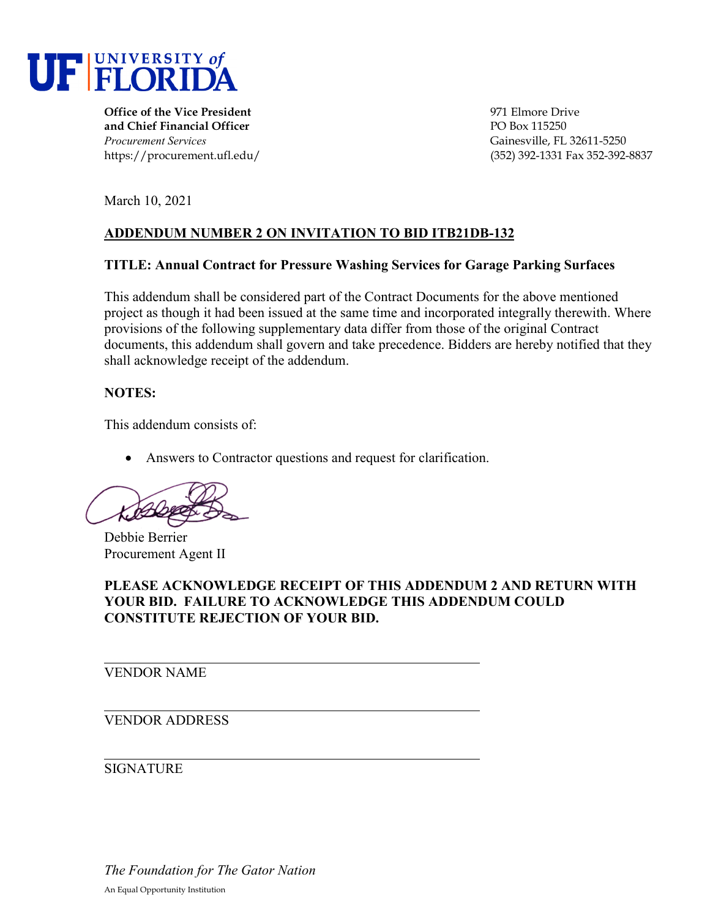

**Office of the Vice President** 1971 Elmore Drive **and Chief Financial Officer** PO Box 115250 *Procurement Services* Gainesville, FL 32611-5250

https://procurement.ufl.edu/ (352) 392-1331 Fax 352-392-8837

March 10, 2021

# **ADDENDUM NUMBER 2 ON INVITATION TO BID ITB21DB-132**

### **TITLE: Annual Contract for Pressure Washing Services for Garage Parking Surfaces**

This addendum shall be considered part of the Contract Documents for the above mentioned project as though it had been issued at the same time and incorporated integrally therewith. Where provisions of the following supplementary data differ from those of the original Contract documents, this addendum shall govern and take precedence. Bidders are hereby notified that they shall acknowledge receipt of the addendum.

### **NOTES:**

This addendum consists of:

• Answers to Contractor questions and request for clarification.

Debbie Berrier Procurement Agent II

# **PLEASE ACKNOWLEDGE RECEIPT OF THIS ADDENDUM 2 AND RETURN WITH YOUR BID. FAILURE TO ACKNOWLEDGE THIS ADDENDUM COULD CONSTITUTE REJECTION OF YOUR BID.**

VENDOR NAME

## VENDOR ADDRESS

## **SIGNATURE**